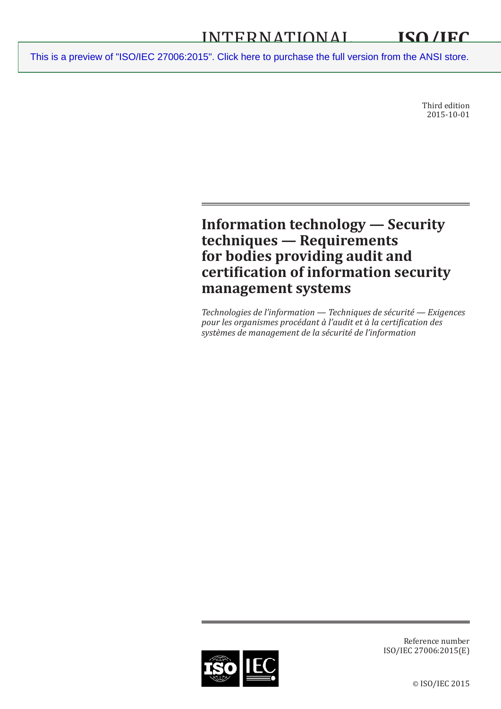Third edition 2015-10-01

# **Information technology — Security techniques — Requirements for bodies providing audit and certification of information security management systems**

*Technologies de l'information — Techniques de sécurité — Exigences pour les organismes procédant à l'audit et à la certification des systèmes de management de la sécurité de l'information*



Reference number ISO/IEC 27006:2015(E)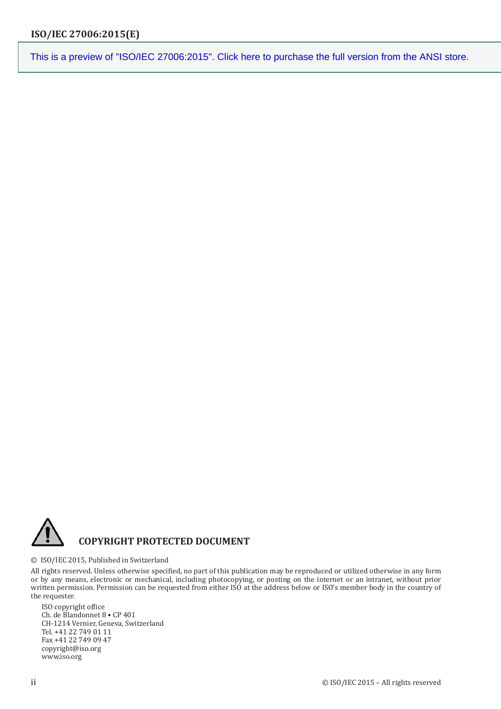

### © ISO/IEC 2015, Published in Switzerland

All rights reserved. Unless otherwise specified, no part of this publication may be reproduced or utilized otherwise in any form or by any means, electronic or mechanical, including photocopying, or posting on the internet or an intranet, without prior written permission. Permission can be requested from either ISO at the address below or ISO's member body in the country of the requester.

ISO copyright office Ch. de Blandonnet 8 • CP 401 CH-1214 Vernier, Geneva, Switzerland Tel. +41 22 749 01 11 Fax +41 22 749 09 47 copyright@iso.org www.iso.org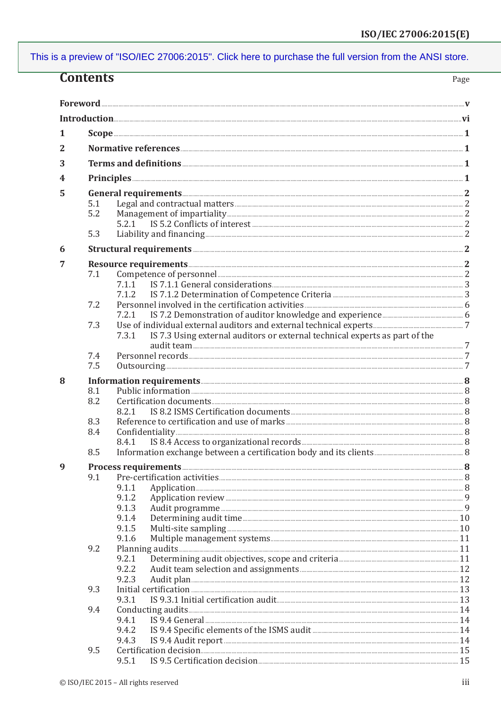| <b>Contents</b><br>Page |            |                                                                                                                                                                                                                                                                                                                                                                                         |  |
|-------------------------|------------|-----------------------------------------------------------------------------------------------------------------------------------------------------------------------------------------------------------------------------------------------------------------------------------------------------------------------------------------------------------------------------------------|--|
|                         |            |                                                                                                                                                                                                                                                                                                                                                                                         |  |
|                         |            |                                                                                                                                                                                                                                                                                                                                                                                         |  |
|                         |            |                                                                                                                                                                                                                                                                                                                                                                                         |  |
| 1                       |            | $\textbf{Scope} \texttt{} \texttt{} \texttt{} \texttt{} \texttt{} \texttt{} \texttt{} \texttt{} \texttt{} \texttt{} \texttt{} \texttt{} \texttt{} \texttt{} \texttt{} \texttt{} \texttt{} \texttt{} \texttt{} \texttt{} \texttt{} \texttt{} \texttt{} \texttt{} \texttt{} \texttt{} \texttt{} \texttt{} \texttt{} \texttt{} \texttt{} \texttt{} \texttt{} \texttt{} \texttt{} \texttt{$ |  |
| 2                       |            |                                                                                                                                                                                                                                                                                                                                                                                         |  |
| 3                       |            |                                                                                                                                                                                                                                                                                                                                                                                         |  |
| 4                       |            |                                                                                                                                                                                                                                                                                                                                                                                         |  |
| 5                       |            |                                                                                                                                                                                                                                                                                                                                                                                         |  |
|                         | 5.1        |                                                                                                                                                                                                                                                                                                                                                                                         |  |
|                         | 5.2        |                                                                                                                                                                                                                                                                                                                                                                                         |  |
|                         |            |                                                                                                                                                                                                                                                                                                                                                                                         |  |
|                         | 5.3        |                                                                                                                                                                                                                                                                                                                                                                                         |  |
| 6                       |            |                                                                                                                                                                                                                                                                                                                                                                                         |  |
| 7                       |            |                                                                                                                                                                                                                                                                                                                                                                                         |  |
|                         | 7.1        |                                                                                                                                                                                                                                                                                                                                                                                         |  |
|                         |            | 7.1.1 IS 7.1.1 General considerations <b>manufactures</b> and the set of the set of the set of the set of the set of the set of the set of the set of the set of the set of the set of the set of the set of the set of the set of                                                                                                                                                      |  |
|                         |            | 7.1.2                                                                                                                                                                                                                                                                                                                                                                                   |  |
|                         | 7.2        |                                                                                                                                                                                                                                                                                                                                                                                         |  |
|                         |            |                                                                                                                                                                                                                                                                                                                                                                                         |  |
|                         | 7.3        |                                                                                                                                                                                                                                                                                                                                                                                         |  |
|                         |            | IS 7.3 Using external auditors or external technical experts as part of the<br>7.3.1                                                                                                                                                                                                                                                                                                    |  |
|                         |            |                                                                                                                                                                                                                                                                                                                                                                                         |  |
|                         | 7.4<br>7.5 |                                                                                                                                                                                                                                                                                                                                                                                         |  |
|                         |            |                                                                                                                                                                                                                                                                                                                                                                                         |  |
| 8                       |            | Information requirements <b>Exercise Active</b> 8                                                                                                                                                                                                                                                                                                                                       |  |
|                         | 8.1<br>8.2 |                                                                                                                                                                                                                                                                                                                                                                                         |  |
|                         |            |                                                                                                                                                                                                                                                                                                                                                                                         |  |
|                         | 8.3        |                                                                                                                                                                                                                                                                                                                                                                                         |  |
|                         | 8.4        |                                                                                                                                                                                                                                                                                                                                                                                         |  |
|                         |            |                                                                                                                                                                                                                                                                                                                                                                                         |  |
|                         | 8.5        |                                                                                                                                                                                                                                                                                                                                                                                         |  |
| 9                       |            |                                                                                                                                                                                                                                                                                                                                                                                         |  |
|                         | 9.1        |                                                                                                                                                                                                                                                                                                                                                                                         |  |
|                         |            | 9.1.1                                                                                                                                                                                                                                                                                                                                                                                   |  |
|                         |            | 9.1.2                                                                                                                                                                                                                                                                                                                                                                                   |  |
|                         |            | 9.1.3                                                                                                                                                                                                                                                                                                                                                                                   |  |
|                         |            | 9.1.4<br>9.1.5<br>Multi-site sampling 2000 million and the state of the sampling and the state of the sampling and the state of the sampling $10$                                                                                                                                                                                                                                       |  |
|                         |            | 9.1.6                                                                                                                                                                                                                                                                                                                                                                                   |  |
|                         | 9.2        |                                                                                                                                                                                                                                                                                                                                                                                         |  |
|                         |            | 9.2.1                                                                                                                                                                                                                                                                                                                                                                                   |  |
|                         |            | 9.2.2                                                                                                                                                                                                                                                                                                                                                                                   |  |
|                         |            | 9.2.3                                                                                                                                                                                                                                                                                                                                                                                   |  |
|                         | 9.3        |                                                                                                                                                                                                                                                                                                                                                                                         |  |
|                         |            | 9.3.1                                                                                                                                                                                                                                                                                                                                                                                   |  |
|                         | 9.4        | 9.4.1                                                                                                                                                                                                                                                                                                                                                                                   |  |
|                         |            | 9.4.2                                                                                                                                                                                                                                                                                                                                                                                   |  |
|                         |            | 9.4.3                                                                                                                                                                                                                                                                                                                                                                                   |  |
|                         | 9.5        |                                                                                                                                                                                                                                                                                                                                                                                         |  |
|                         |            | 9.5.1                                                                                                                                                                                                                                                                                                                                                                                   |  |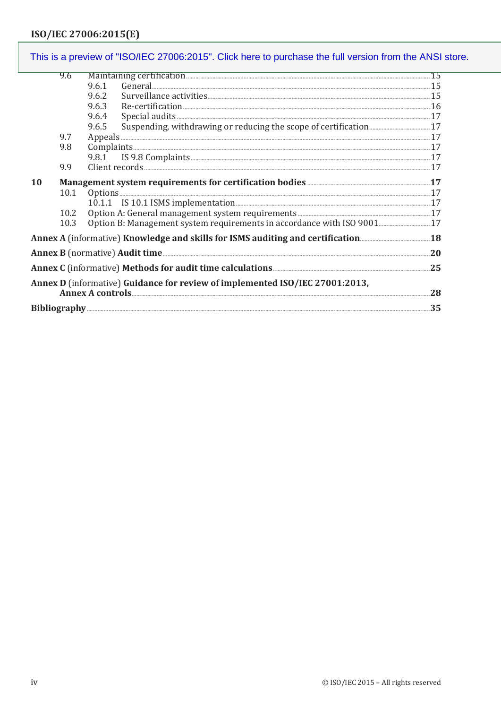#### This is a preview of "ISO/IEC 27006:2015". Click here to purchase the full version from the ANSI store. 9.6 9.6.1 9.6.2 9.6.3 9.6.4 Special audits 27 9.6.5 9.7 9.8  $9.8.1$ 9.9  $10$ Management system requirements for certification bodies **manufacturers** 17  $10.1$ Options.... 10.2 10.3 Annex C (informative) Methods for audit time calculations **Entity of the Strategier C** (informative) 25 Annex D (informative) Guidance for review of implemented ISO/IEC 27001:2013, Annex A controls 28 .35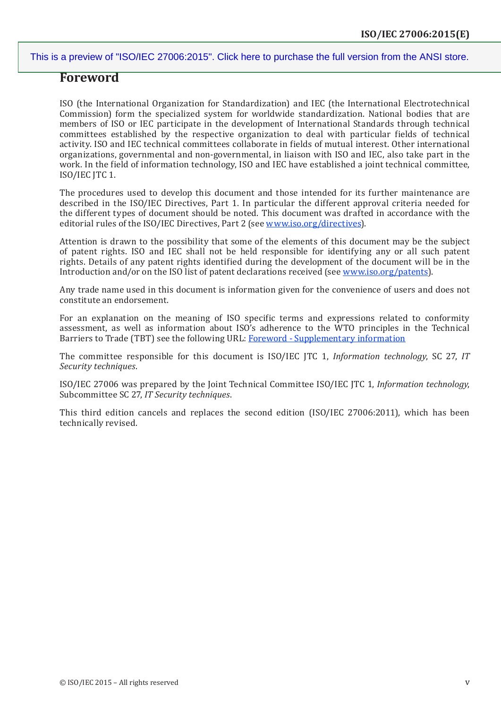### **Foreword**

ISO (the International Organization for Standardization) and IEC (the International Electrotechnical Commission) form the specialized system for worldwide standardization. National bodies that are members of ISO or IEC participate in the development of International Standards through technical committees established by the respective organization to deal with particular fields of technical activity. ISO and IEC technical committees collaborate in fields of mutual interest. Other international organizations, governmental and non-governmental, in liaison with ISO and IEC, also take part in the work. In the field of information technology, ISO and IEC have established a joint technical committee, ISO/IEC JTC 1.

The procedures used to develop this document and those intended for its further maintenance are described in the ISO/IEC Directives, Part 1. In particular the different approval criteria needed for the different types of document should be noted. This document was drafted in accordance with the editorial rules of the ISO/IEC Directives, Part 2 (see [www.iso.org/directives](http://www.iso.org/directives)).

Attention is drawn to the possibility that some of the elements of this document may be the subject of patent rights. ISO and IEC shall not be held responsible for identifying any or all such patent rights. Details of any patent rights identified during the development of the document will be in the Introduction and/or on the ISO list of patent declarations received (see [www.iso.org/patents\)](http://www.iso.org/patents).

Any trade name used in this document is information given for the convenience of users and does not constitute an endorsement.

For an explanation on the meaning of ISO specific terms and expressions related to conformity assessment, as well as information about ISO's adherence to the WTO principles in the Technical Barriers to Trade (TBT) see the following URL: [Foreword - Supplementary information](http://www.iso.org/iso/home/standards_development/resources-for-technical-work/foreword.htm)

The committee responsible for this document is ISO/IEC JTC 1, *Information technology*, SC 27, *IT Security techniques*.

ISO/IEC 27006 was prepared by the Joint Technical Committee ISO/IEC JTC 1, *Information technology*, Subcommittee SC 27, *IT Security techniques*.

This third edition cancels and replaces the second edition (ISO/IEC 27006:2011), which has been technically revised.